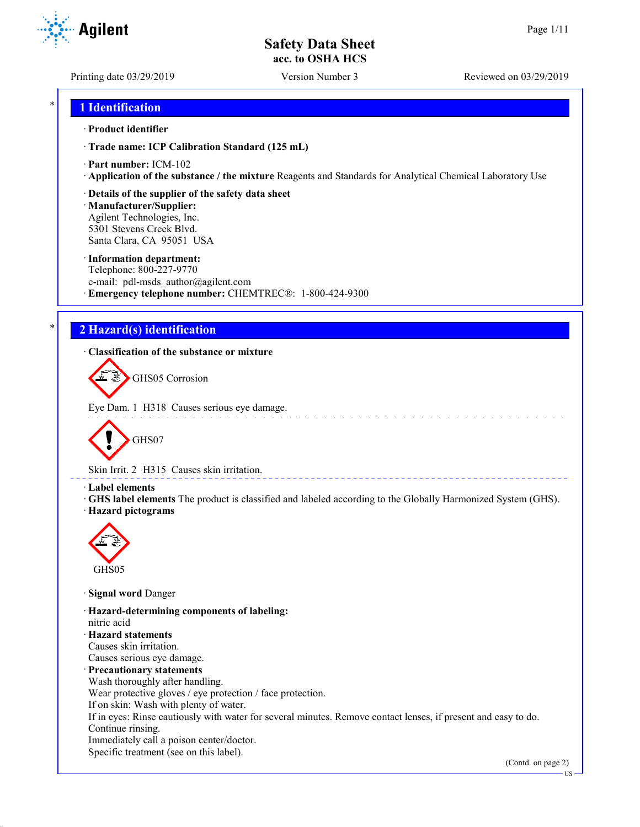**Agilent** 

Printing date 03/29/2019 Version Number 3 Reviewed on 03/29/2019

### \* **1 Identification**

#### · **Product identifier**

· **Trade name: ICP Calibration Standard (125 mL)**

- · **Part number:** ICM-102
- · **Application of the substance / the mixture** Reagents and Standards for Analytical Chemical Laboratory Use

#### · **Details of the supplier of the safety data sheet**

· **Manufacturer/Supplier:** Agilent Technologies, Inc. 5301 Stevens Creek Blvd. Santa Clara, CA 95051 USA

#### · **Information department:**

Telephone: 800-227-9770 e-mail: pdl-msds author@agilent.com · **Emergency telephone number:** CHEMTREC®: 1-800-424-9300

### \* **2 Hazard(s) identification**

### · **Classification of the substance or mixture**

GHS05 Corrosion

Eye Dam. 1 H318 Causes serious eye damage.



Skin Irrit. 2 H315 Causes skin irritation.

#### · **Label elements**

· **GHS label elements** The product is classified and labeled according to the Globally Harmonized System (GHS). · **Hazard pictograms**

and a state



· **Signal word** Danger

· **Hazard-determining components of labeling:** nitric acid · **Hazard statements** Causes skin irritation. Causes serious eye damage. · **Precautionary statements** Wash thoroughly after handling.

Wear protective gloves / eye protection / face protection.

If on skin: Wash with plenty of water.

If in eyes: Rinse cautiously with water for several minutes. Remove contact lenses, if present and easy to do. Continue rinsing.

Immediately call a poison center/doctor.

Specific treatment (see on this label).

(Contd. on page 2)

US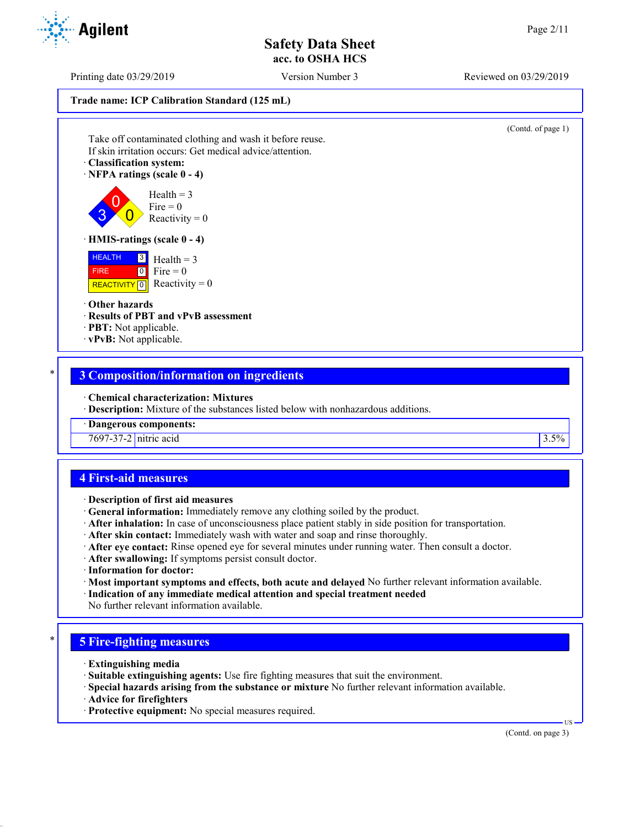Printing date 03/29/2019 Version Number 3 Reviewed on 03/29/2019

**Trade name: ICP Calibration Standard (125 mL)**

(Contd. of page 1)

Take off contaminated clothing and wash it before reuse. If skin irritation occurs: Get medical advice/attention.

· **Classification system:**

· **NFPA ratings (scale 0 - 4)**

 $\overline{0}$  $\overline{0}$  $Health = 3$  $Fire = 0$ Reactivity  $= 0$ 

#### · **HMIS-ratings (scale 0 - 4)**

 HEALTH FIRE REACTIVITY  $\boxed{0}$  Reactivity = 0  $3$  Health = 3  $0$  Fire = 0

#### · **Other hazards**

3

- · **Results of PBT and vPvB assessment**
- · **PBT:** Not applicable.
- · **vPvB:** Not applicable.

### \* **3 Composition/information on ingredients**

· **Chemical characterization: Mixtures**

· **Description:** Mixture of the substances listed below with nonhazardous additions.

· **Dangerous components:**

7697-37-2 nitric acid 3.5%

### **4 First-aid measures**

- · **Description of first aid measures**
- · **General information:** Immediately remove any clothing soiled by the product.
- · **After inhalation:** In case of unconsciousness place patient stably in side position for transportation.
- · **After skin contact:** Immediately wash with water and soap and rinse thoroughly.
- · **After eye contact:** Rinse opened eye for several minutes under running water. Then consult a doctor.
- · **After swallowing:** If symptoms persist consult doctor.
- · **Information for doctor:**
- · **Most important symptoms and effects, both acute and delayed** No further relevant information available.
- · **Indication of any immediate medical attention and special treatment needed**
- No further relevant information available.

### \* **5 Fire-fighting measures**

- · **Extinguishing media**
- · **Suitable extinguishing agents:** Use fire fighting measures that suit the environment.
- · **Special hazards arising from the substance or mixture** No further relevant information available.
- · **Advice for firefighters**
- · **Protective equipment:** No special measures required.

(Contd. on page 3)

US

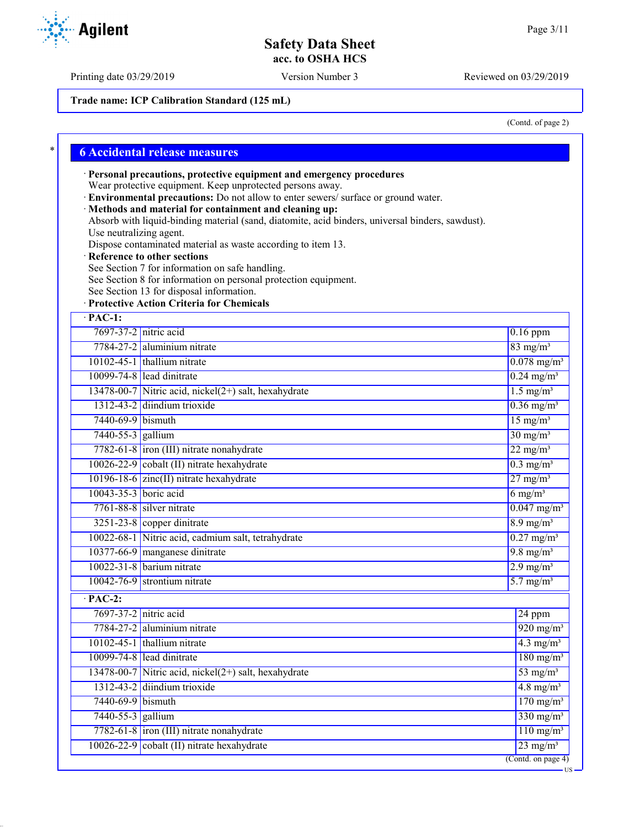Printing date 03/29/2019 Version Number 3 Reviewed on 03/29/2019

**Trade name: ICP Calibration Standard (125 mL)**

(Contd. of page 2)

US

|                         | · Personal precautions, protective equipment and emergency procedures                                                                                       |                                 |
|-------------------------|-------------------------------------------------------------------------------------------------------------------------------------------------------------|---------------------------------|
|                         | Wear protective equipment. Keep unprotected persons away.                                                                                                   |                                 |
|                         | · Environmental precautions: Do not allow to enter sewers/ surface or ground water.                                                                         |                                 |
|                         | · Methods and material for containment and cleaning up:<br>Absorb with liquid-binding material (sand, diatomite, acid binders, universal binders, sawdust). |                                 |
| Use neutralizing agent. |                                                                                                                                                             |                                 |
|                         | Dispose contaminated material as waste according to item 13.                                                                                                |                                 |
|                         | · Reference to other sections                                                                                                                               |                                 |
|                         | See Section 7 for information on safe handling.<br>See Section 8 for information on personal protection equipment.                                          |                                 |
|                         | See Section 13 for disposal information.                                                                                                                    |                                 |
|                         | · Protective Action Criteria for Chemicals                                                                                                                  |                                 |
| $\cdot$ PAC-1:          |                                                                                                                                                             |                                 |
| 7697-37-2 nitric acid   |                                                                                                                                                             | $0.16$ ppm                      |
|                         | 7784-27-2 aluminium nitrate                                                                                                                                 | $83$ mg/m <sup>3</sup>          |
|                         | 10102-45-1 thallium nitrate                                                                                                                                 | $0.078$ mg/m <sup>3</sup>       |
|                         | 10099-74-8 lead dinitrate                                                                                                                                   | $0.24$ mg/m <sup>3</sup>        |
|                         | 13478-00-7 Nitric acid, nickel $(2+)$ salt, hexahydrate                                                                                                     | $1.5$ mg/m <sup>3</sup>         |
|                         | 1312-43-2 diindium trioxide                                                                                                                                 | $0.36$ mg/m <sup>3</sup>        |
| 7440-69-9 bismuth       |                                                                                                                                                             | $15$ mg/m <sup>3</sup>          |
| 7440-55-3 gallium       |                                                                                                                                                             | $30 \text{ mg/m}^3$             |
|                         | 7782-61-8 iron (III) nitrate nonahydrate                                                                                                                    | $22$ mg/m <sup>3</sup>          |
|                         | 10026-22-9 cobalt (II) nitrate hexahydrate                                                                                                                  | $0.3$ mg/m <sup>3</sup>         |
|                         | 10196-18-6 zinc(II) nitrate hexahydrate                                                                                                                     | $27 \frac{\text{mg}}{\text{m}}$ |
| 10043-35-3 boric acid   |                                                                                                                                                             | $6$ mg/m <sup>3</sup>           |
|                         | $7761 - 88 - 8$ silver nitrate                                                                                                                              | $0.047$ mg/m <sup>3</sup>       |
|                         | $3251-23-8$ copper dinitrate                                                                                                                                | $8.9$ mg/m <sup>3</sup>         |
|                         | 10022-68-1 Nitric acid, cadmium salt, tetrahydrate                                                                                                          | $0.27$ mg/m <sup>3</sup>        |
|                         | 10377-66-9 manganese dinitrate                                                                                                                              | $9.8 \text{ mg/m}^3$            |
|                         | $10022 - 31 - 8$ barium nitrate                                                                                                                             | $2.9$ mg/m <sup>3</sup>         |
|                         | $10042 - 76 - 9$ strontium nitrate                                                                                                                          | $5.7$ mg/m <sup>3</sup>         |
| $\cdot$ PAC-2:          |                                                                                                                                                             |                                 |
| 7697-37-2 nitric acid   |                                                                                                                                                             | 24 ppm                          |
|                         | 7784-27-2 aluminium nitrate                                                                                                                                 | $920$ mg/m <sup>3</sup>         |
|                         | $10102 - 45 - 1$ thallium nitrate                                                                                                                           | $4.3$ mg/m <sup>3</sup>         |
|                         | 10099-74-8 lead dinitrate                                                                                                                                   | $180$ mg/m <sup>3</sup>         |
|                         | 13478-00-7 Nitric acid, nickel $(2+)$ salt, hexahydrate                                                                                                     | $53$ mg/m <sup>3</sup>          |
|                         | 1312-43-2 diindium trioxide                                                                                                                                 | $4.8$ mg/m <sup>3</sup>         |
| 7440-69-9 bismuth       |                                                                                                                                                             | $170$ mg/m <sup>3</sup>         |
| 7440-55-3 gallium       |                                                                                                                                                             | $330$ mg/m <sup>3</sup>         |
|                         | 7782-61-8 iron (III) nitrate nonahydrate                                                                                                                    | $110$ mg/m <sup>3</sup>         |
|                         | cobalt (II) nitrate hexahydrate                                                                                                                             | $23 \text{ mg/m}^3$             |

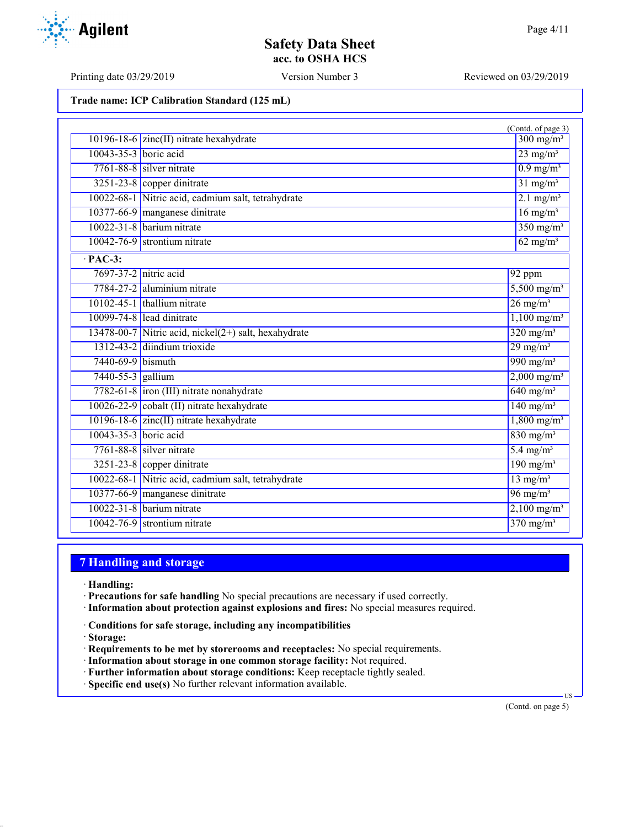Printing date 03/29/2019 Version Number 3 Reviewed on 03/29/2019

| Trade name: ICP Calibration Standard (125 mL) |  |  |  |  |  |
|-----------------------------------------------|--|--|--|--|--|
|-----------------------------------------------|--|--|--|--|--|

|                       |                                                         | (Contd. of page 3)        |
|-----------------------|---------------------------------------------------------|---------------------------|
|                       | 10196-18-6 $zinc(II)$ nitrate hexahydrate               | $300 \text{ mg/m}^3$      |
| 10043-35-3 boric acid |                                                         | $23$ mg/m <sup>3</sup>    |
|                       | $7761 - 88 - 8$ silver nitrate                          | $0.9$ mg/m <sup>3</sup>   |
|                       | $3251-23-8$ copper dinitrate                            | $31$ mg/m <sup>3</sup>    |
|                       | 10022-68-1 Nitric acid, cadmium salt, tetrahydrate      | $2.1 \text{ mg/m}^3$      |
|                       | 10377-66-9 manganese dinitrate                          | $16$ mg/m <sup>3</sup>    |
|                       | 10022-31-8 barium nitrate                               | $350$ mg/m <sup>3</sup>   |
|                       | $10042 - 76 - 9$ strontium nitrate                      | $62$ mg/m <sup>3</sup>    |
| $\cdot$ PAC-3:        |                                                         |                           |
| 7697-37-2 nitric acid |                                                         | 92 ppm                    |
|                       | 7784-27-2 aluminium nitrate                             | $5,500$ mg/m <sup>3</sup> |
|                       | $10102 - 45 - 1$ thallium nitrate                       | $26$ mg/m <sup>3</sup>    |
|                       | 10099-74-8 lead dinitrate                               | $1,100 \text{ mg/m}^3$    |
|                       | 13478-00-7 Nitric acid, nickel $(2+)$ salt, hexahydrate | $320 \text{ mg/m}^3$      |
|                       | 1312-43-2 diindium trioxide                             | $29$ mg/m <sup>3</sup>    |
| 7440-69-9 bismuth     |                                                         | $990$ mg/m <sup>3</sup>   |
| 7440-55-3 gallium     |                                                         | $2,000 \text{ mg/m}^3$    |
|                       | 7782-61-8 iron (III) nitrate nonahydrate                | $640$ mg/m <sup>3</sup>   |
|                       | 10026-22-9 cobalt (II) nitrate hexahydrate              | $140$ mg/m <sup>3</sup>   |
|                       | 10196-18-6 zinc(II) nitrate hexahydrate                 | $1,800$ mg/m <sup>3</sup> |
| 10043-35-3 boric acid |                                                         | $830$ mg/m <sup>3</sup>   |
|                       | $7761 - 88 - 8$ silver nitrate                          | $5.4$ mg/m <sup>3</sup>   |
|                       | $3251-23-8$ copper dinitrate                            | $190$ mg/m <sup>3</sup>   |
|                       | 10022-68-1 Nitric acid, cadmium salt, tetrahydrate      | $13$ mg/m <sup>3</sup>    |
|                       | 10377-66-9 manganese dinitrate                          | $96$ mg/m <sup>3</sup>    |
|                       | $10022 - 31 - 8$ barium nitrate                         | $2,100$ mg/m <sup>3</sup> |
|                       | $10042 - 76 - 9$ strontium nitrate                      | $370 \text{ mg/m}^3$      |

# **7 Handling and storage**

- · **Handling:**
- · **Precautions for safe handling** No special precautions are necessary if used correctly.
- · **Information about protection against explosions and fires:** No special measures required.
- · **Conditions for safe storage, including any incompatibilities**
- · **Storage:**
- · **Requirements to be met by storerooms and receptacles:** No special requirements.
- · **Information about storage in one common storage facility:** Not required.
- · **Further information about storage conditions:** Keep receptacle tightly sealed.
- · **Specific end use(s)** No further relevant information available.

(Contd. on page 5)

US

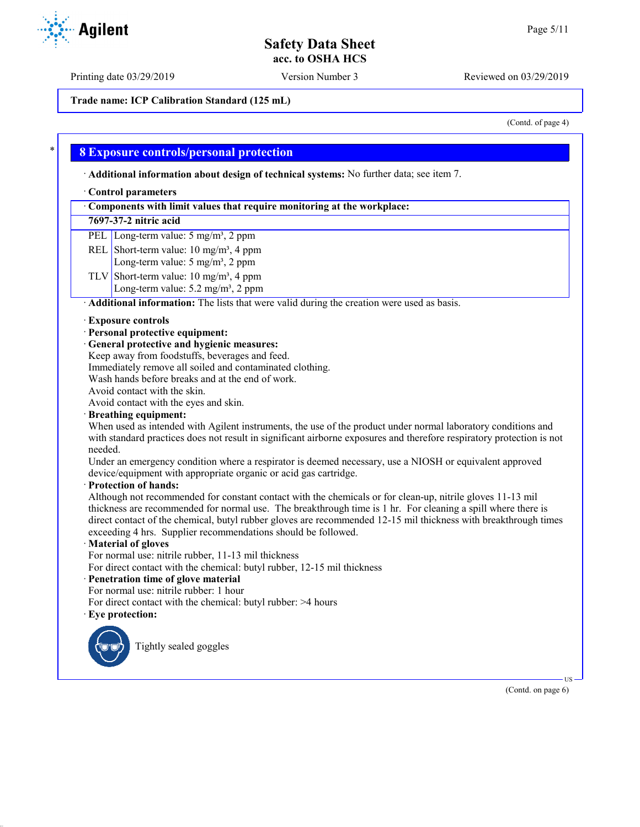Printing date 03/29/2019 Version Number 3 Reviewed on 03/29/2019

**Trade name: ICP Calibration Standard (125 mL)**

(Contd. of page 4)

### \* **8 Exposure controls/personal protection**

· **Additional information about design of technical systems:** No further data; see item 7.

#### · **Control parameters**

| Components with limit values that require monitoring at the workplace: |
|------------------------------------------------------------------------|
|------------------------------------------------------------------------|

#### **7697-37-2 nitric acid**

PEL Long-term value: 5 mg/m<sup>3</sup>, 2 ppm

- REL Short-term value:  $10 \text{ mg/m}^3$ , 4 ppm
	- Long-term value: 5 mg/m<sup>3</sup>, 2 ppm
- TLV Short-term value:  $10 \text{ mg/m}^3$ , 4 ppm Long-term value:  $5.2 \text{ mg/m}^3$ ,  $2 \text{ ppm}$

· **Additional information:** The lists that were valid during the creation were used as basis.

#### · **Exposure controls**

- · **Personal protective equipment:**
- · **General protective and hygienic measures:**
- Keep away from foodstuffs, beverages and feed.
- Immediately remove all soiled and contaminated clothing.
- Wash hands before breaks and at the end of work.
- Avoid contact with the skin.
- Avoid contact with the eyes and skin.

#### · **Breathing equipment:**

When used as intended with Agilent instruments, the use of the product under normal laboratory conditions and with standard practices does not result in significant airborne exposures and therefore respiratory protection is not needed.

Under an emergency condition where a respirator is deemed necessary, use a NIOSH or equivalent approved device/equipment with appropriate organic or acid gas cartridge.

· **Protection of hands:**

Although not recommended for constant contact with the chemicals or for clean-up, nitrile gloves 11-13 mil thickness are recommended for normal use. The breakthrough time is 1 hr. For cleaning a spill where there is direct contact of the chemical, butyl rubber gloves are recommended 12-15 mil thickness with breakthrough times exceeding 4 hrs. Supplier recommendations should be followed.

#### · **Material of gloves**

For normal use: nitrile rubber, 11-13 mil thickness

For direct contact with the chemical: butyl rubber, 12-15 mil thickness

### · **Penetration time of glove material**

For normal use: nitrile rubber: 1 hour

- For direct contact with the chemical: butyl rubber: >4 hours
- · **Eye protection:**



Tightly sealed goggles

 US (Contd. on page 6)

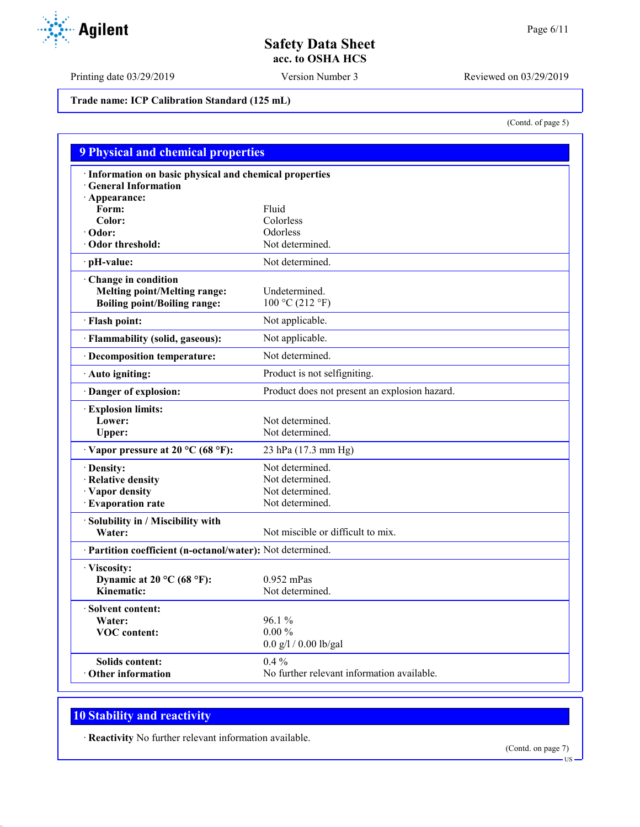Printing date 03/29/2019 Version Number 3 Reviewed on 03/29/2019

**Trade name: ICP Calibration Standard (125 mL)**

(Contd. of page 5)

| <b>9 Physical and chemical properties</b>                  |                                               |
|------------------------------------------------------------|-----------------------------------------------|
| · Information on basic physical and chemical properties    |                                               |
| <b>General Information</b>                                 |                                               |
| · Appearance:                                              |                                               |
| Form:                                                      | Fluid                                         |
| Color:                                                     | Colorless                                     |
| $\cdot$ Odor:                                              | Odorless                                      |
| Odor threshold:                                            | Not determined.                               |
| · pH-value:                                                | Not determined.                               |
| Change in condition                                        |                                               |
| <b>Melting point/Melting range:</b>                        | Undetermined.                                 |
| <b>Boiling point/Boiling range:</b>                        | 100 °C (212 °F)                               |
| · Flash point:                                             | Not applicable.                               |
| · Flammability (solid, gaseous):                           | Not applicable.                               |
| · Decomposition temperature:                               | Not determined.                               |
| · Auto igniting:                                           | Product is not selfigniting.                  |
| Danger of explosion:                                       | Product does not present an explosion hazard. |
| <b>Explosion limits:</b>                                   |                                               |
| Lower:                                                     | Not determined.                               |
| Upper:                                                     | Not determined.                               |
| $\cdot$ Vapor pressure at 20 °C (68 °F):                   | 23 hPa (17.3 mm Hg)                           |
| · Density:                                                 | Not determined.                               |
| · Relative density                                         | Not determined.                               |
| · Vapor density                                            | Not determined.                               |
| · Evaporation rate                                         | Not determined.                               |
| Solubility in / Miscibility with                           |                                               |
| Water:                                                     | Not miscible or difficult to mix.             |
| · Partition coefficient (n-octanol/water): Not determined. |                                               |
| · Viscosity:                                               |                                               |
| Dynamic at 20 °C (68 °F):                                  | $0.952$ mPas                                  |
| Kinematic:                                                 | Not determined.                               |
| <b>Solvent content:</b>                                    |                                               |
| Water:                                                     | 96.1 %                                        |
| <b>VOC</b> content:                                        | $0.00\,\%$                                    |
|                                                            | $0.0$ g/l / $0.00$ lb/gal                     |
| <b>Solids content:</b>                                     | $0.4\%$                                       |
| <b>Other information</b>                                   | No further relevant information available.    |

# **10 Stability and reactivity**

· **Reactivity** No further relevant information available.

(Contd. on page 7) US

Agilent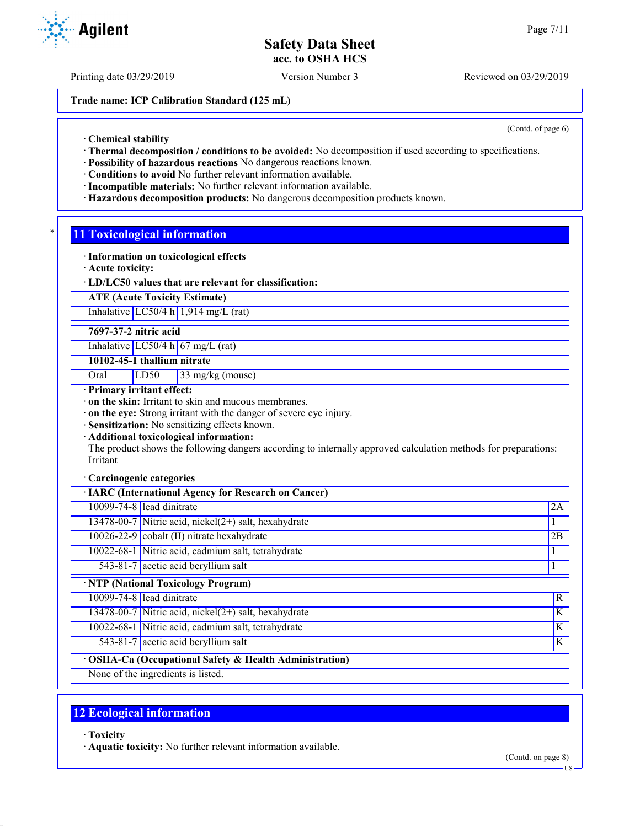Printing date 03/29/2019 Version Number 3 Reviewed on 03/29/2019

**Trade name: ICP Calibration Standard (125 mL)**

(Contd. of page 6)

· **Chemical stability**

- · **Thermal decomposition / conditions to be avoided:** No decomposition if used according to specifications.
- · **Possibility of hazardous reactions** No dangerous reactions known.
- · **Conditions to avoid** No further relevant information available.
- · **Incompatible materials:** No further relevant information available.
- · **Hazardous decomposition products:** No dangerous decomposition products known.

### **11 Toxicological information**

- · **Information on toxicological effects**
- · **Acute toxicity:**

### · **LD/LC50 values that are relevant for classification:**

**ATE (Acute Toxicity Estimate)**

Inhalative  $LC50/4$  h 1,914 mg/L (rat)

**7697-37-2 nitric acid**

Inhalative  $LC50/4$  h 67 mg/L (rat)

**10102-45-1 thallium nitrate**

Oral LD50 33 mg/kg (mouse)

· **Primary irritant effect:**

· **on the skin:** Irritant to skin and mucous membranes.

· **on the eye:** Strong irritant with the danger of severe eye injury.

· **Sensitization:** No sensitizing effects known.

· **Additional toxicological information:**

The product shows the following dangers according to internally approved calculation methods for preparations: Irritant

#### · **Carcinogenic categories**

| · IARC (International Agency for Research on Cancer)    |    |
|---------------------------------------------------------|----|
| 10099-74-8 lead dinitrate                               | 2A |
| 13478-00-7 Nitric acid, nickel $(2+)$ salt, hexahydrate |    |
| $10026 - 22 - 9$ cobalt (II) nitrate hexahydrate        | 2B |
| 10022-68-1 Nitric acid, cadmium salt, tetrahydrate      |    |
| $\overline{543-81-7}$ acetic acid beryllium salt        |    |
| · NTP (National Toxicology Program)                     |    |
| 10099-74-8 lead dinitrate                               | R  |
| 13478-00-7 Nitric acid, nickel $(2+)$ salt, hexahydrate | K  |
| 10022-68-1 Nitric acid, cadmium salt, tetrahydrate      | K  |
| 543-81-7 acetic acid beryllium salt                     | K  |
| · OSHA-Ca (Occupational Safety & Health Administration) |    |
| None of the ingredients is listed.                      |    |

## **12 Ecological information**

· **Toxicity**

· **Aquatic toxicity:** No further relevant information available.



US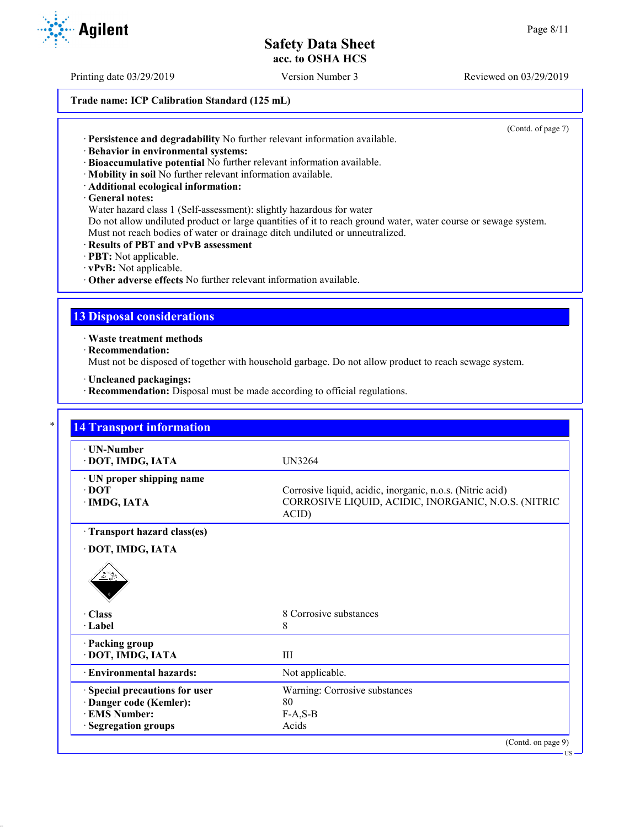Printing date 03/29/2019 Version Number 3 Reviewed on 03/29/2019

### **Trade name: ICP Calibration Standard (125 mL)**

(Contd. of page 7)

- · **Persistence and degradability** No further relevant information available.
- · **Behavior in environmental systems:**
- · **Bioaccumulative potential** No further relevant information available.
- · **Mobility in soil** No further relevant information available.
- · **Additional ecological information:**
- · **General notes:**

Water hazard class 1 (Self-assessment): slightly hazardous for water

Do not allow undiluted product or large quantities of it to reach ground water, water course or sewage system. Must not reach bodies of water or drainage ditch undiluted or unneutralized.

- · **Results of PBT and vPvB assessment**
- · **PBT:** Not applicable.
- · **vPvB:** Not applicable.
- · **Other adverse effects** No further relevant information available.

### **13 Disposal considerations**

· **Waste treatment methods**

· **Recommendation:**

Must not be disposed of together with household garbage. Do not allow product to reach sewage system.

- · **Uncleaned packagings:**
- · **Recommendation:** Disposal must be made according to official regulations.

| · UN-Number<br>· DOT, IMDG, IATA | UN3264                                                       |
|----------------------------------|--------------------------------------------------------------|
| · UN proper shipping name        |                                                              |
| $\cdot$ DOT                      | Corrosive liquid, acidic, inorganic, n.o.s. (Nitric acid)    |
| · IMDG, IATA                     | CORROSIVE LIQUID, ACIDIC, INORGANIC, N.O.S. (NITRIC<br>ACID) |
| Transport hazard class(es)       |                                                              |
| · DOT, IMDG, IATA                |                                                              |
| · Class                          | 8 Corrosive substances                                       |
| · Label                          | 8                                                            |
| · Packing group                  |                                                              |
| · DOT, IMDG, IATA                | III                                                          |
| <b>Environmental hazards:</b>    | Not applicable.                                              |
| · Special precautions for user   | Warning: Corrosive substances                                |
| · Danger code (Kemler):          | 80                                                           |
|                                  |                                                              |
| <b>EMS Number:</b>               | $F-A, S-B$                                                   |

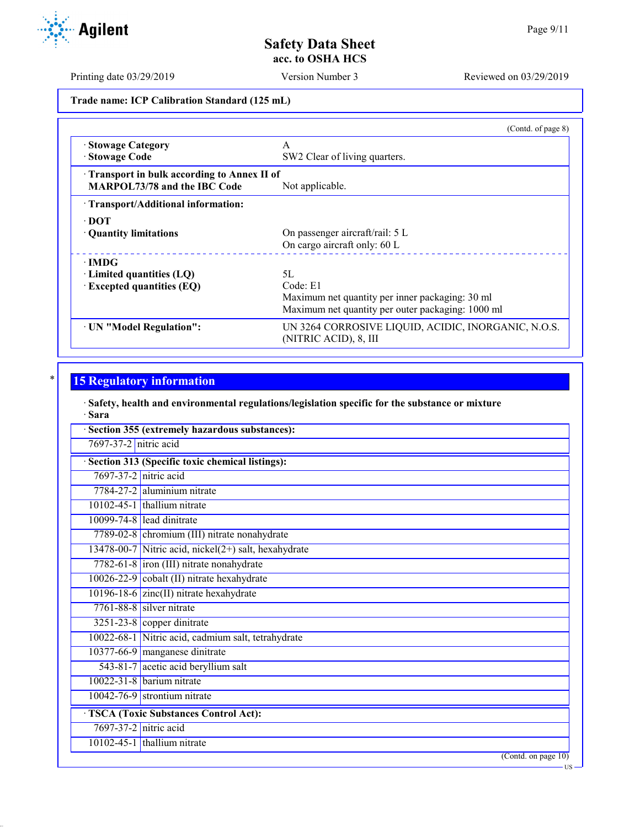US

# **Safety Data Sheet acc. to OSHA HCS**

Printing date 03/29/2019 Version Number 3 Reviewed on 03/29/2019

**Trade name: ICP Calibration Standard (125 mL)**

|                                                                                          | (Contd. of page 8)                                                           |
|------------------------------------------------------------------------------------------|------------------------------------------------------------------------------|
| · Stowage Category                                                                       | A                                                                            |
| · Stowage Code                                                                           | SW2 Clear of living quarters.                                                |
| <b>Transport in bulk according to Annex II of</b><br><b>MARPOL73/78 and the IBC Code</b> | Not applicable.                                                              |
| · Transport/Additional information:                                                      |                                                                              |
| $\cdot$ DOT                                                                              |                                                                              |
| • Quantity limitations                                                                   | On passenger aircraft/rail: 5 L                                              |
|                                                                                          | On cargo aircraft only: 60 L                                                 |
| $\cdot$ IMDG                                                                             |                                                                              |
| $\cdot$ Limited quantities (LQ)                                                          | 5L                                                                           |
| $\cdot$ Excepted quantities (EQ)                                                         | Code: E1                                                                     |
|                                                                                          | Maximum net quantity per inner packaging: 30 ml                              |
|                                                                                          | Maximum net quantity per outer packaging: 1000 ml                            |
| · UN "Model Regulation":                                                                 | UN 3264 CORROSIVE LIQUID, ACIDIC, INORGANIC, N.O.S.<br>(NITRIC ACID), 8, III |
|                                                                                          |                                                                              |

# **15 Regulatory information**

· **Safety, health and environmental regulations/legislation specific for the substance or mixture** · **Sara**

| 7697-37-2 nitric acid |                                                           |
|-----------------------|-----------------------------------------------------------|
|                       | Section 313 (Specific toxic chemical listings):           |
| 7697-37-2 nitric acid |                                                           |
|                       | 7784-27-2 aluminium nitrate                               |
|                       | $10102 - 45 - 1$ thallium nitrate                         |
|                       | 10099-74-8 lead dinitrate                                 |
|                       | 7789-02-8 chromium (III) nitrate nonahydrate              |
|                       | $13478-00-7$ Nitric acid, nickel $(2+)$ salt, hexahydrate |
|                       | 7782-61-8 iron (III) nitrate nonahydrate                  |
|                       | 10026-22-9 cobalt (II) nitrate hexahydrate                |
|                       | $10196 - 18 - 6$ zinc(II) nitrate hexahydrate             |
|                       | $7761 - 88 - 8$ silver nitrate                            |
|                       | $3251-23-8$ copper dinitrate                              |
|                       | 10022-68-1 Nitric acid, cadmium salt, tetrahydrate        |
|                       | 10377-66-9 manganese dinitrate                            |
|                       | 543-81-7 acetic acid beryllium salt                       |
|                       | $10022 - 31 - 8$ barium nitrate                           |
|                       | $10042 - 76 - 9$ strontium nitrate                        |
|                       | <b>TSCA (Toxic Substances Control Act):</b>               |
| 7697-37-2 nitric acid |                                                           |
|                       | $10102 - 45 - 1$ thallium nitrate                         |

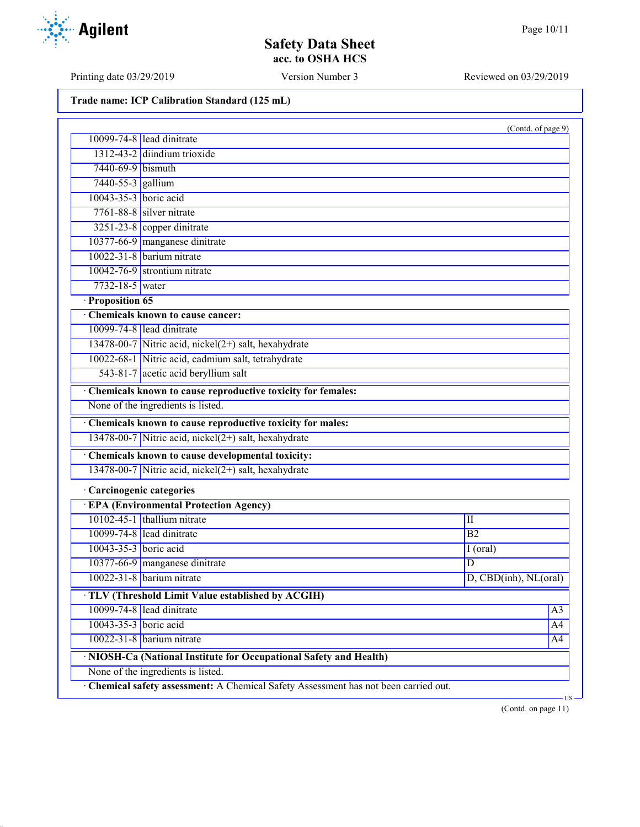Printing date 03/29/2019 Version Number 3 Reviewed on 03/29/2019

| Trade name: ICP Calibration Standard (125 mL) |  |  |  |  |  |
|-----------------------------------------------|--|--|--|--|--|
|-----------------------------------------------|--|--|--|--|--|

| 10099-74-8 lead dinitrate<br>1312-43-2 diindium trioxide<br>7440-69-9 bismuth<br>7440-55-3 gallium<br>10043-35-3 boric acid<br>$7761 - 88 - 8$ silver nitrate<br>3251-23-8 copper dinitrate<br>10377-66-9 manganese dinitrate<br>10022-31-8 barium nitrate<br>$10042 - 76 - 9$ strontium nitrate<br>7732-18-5 water<br>· Proposition 65<br>Chemicals known to cause cancer:<br>10099-74-8 lead dinitrate<br>13478-00-7 Nitric acid, nickel $(2+)$ salt, hexahydrate<br>10022-68-1 Nitric acid, cadmium salt, tetrahydrate<br>543-81-7 acetic acid beryllium salt<br>Chemicals known to cause reproductive toxicity for females:<br>None of the ingredients is listed.<br>Chemicals known to cause reproductive toxicity for males:<br>13478-00-7 Nitric acid, nickel(2+) salt, hexahydrate<br>Chemicals known to cause developmental toxicity:<br>13478-00-7 Nitric acid, nickel(2+) salt, hexahydrate<br>· Carcinogenic categories<br><b>EPA (Environmental Protection Agency)</b><br>10102-45-1 thallium nitrate<br>$\rm II$<br>10099-74-8 lead dinitrate<br>$\overline{B2}$<br>10043-35-3 boric acid<br>$I$ (oral)<br>10377-66-9 manganese dinitrate<br>D<br>$10022 - 31 - 8$ barium nitrate<br>D, CBD(inh), NL(oral)<br>· TLV (Threshold Limit Value established by ACGIH)<br>10099-74-8 lead dinitrate<br>A <sub>3</sub><br>10043-35-3 boric acid<br>A4<br>$10022 - 31 - 8$ barium nitrate<br>A4<br>· NIOSH-Ca (National Institute for Occupational Safety and Health)<br>None of the ingredients is listed.<br>· Chemical safety assessment: A Chemical Safety Assessment has not been carried out. |  | (Contd. of page 9) |  |
|-----------------------------------------------------------------------------------------------------------------------------------------------------------------------------------------------------------------------------------------------------------------------------------------------------------------------------------------------------------------------------------------------------------------------------------------------------------------------------------------------------------------------------------------------------------------------------------------------------------------------------------------------------------------------------------------------------------------------------------------------------------------------------------------------------------------------------------------------------------------------------------------------------------------------------------------------------------------------------------------------------------------------------------------------------------------------------------------------------------------------------------------------------------------------------------------------------------------------------------------------------------------------------------------------------------------------------------------------------------------------------------------------------------------------------------------------------------------------------------------------------------------------------------------------------------------------------------------------------------|--|--------------------|--|
|                                                                                                                                                                                                                                                                                                                                                                                                                                                                                                                                                                                                                                                                                                                                                                                                                                                                                                                                                                                                                                                                                                                                                                                                                                                                                                                                                                                                                                                                                                                                                                                                           |  |                    |  |
|                                                                                                                                                                                                                                                                                                                                                                                                                                                                                                                                                                                                                                                                                                                                                                                                                                                                                                                                                                                                                                                                                                                                                                                                                                                                                                                                                                                                                                                                                                                                                                                                           |  |                    |  |
|                                                                                                                                                                                                                                                                                                                                                                                                                                                                                                                                                                                                                                                                                                                                                                                                                                                                                                                                                                                                                                                                                                                                                                                                                                                                                                                                                                                                                                                                                                                                                                                                           |  |                    |  |
|                                                                                                                                                                                                                                                                                                                                                                                                                                                                                                                                                                                                                                                                                                                                                                                                                                                                                                                                                                                                                                                                                                                                                                                                                                                                                                                                                                                                                                                                                                                                                                                                           |  |                    |  |
|                                                                                                                                                                                                                                                                                                                                                                                                                                                                                                                                                                                                                                                                                                                                                                                                                                                                                                                                                                                                                                                                                                                                                                                                                                                                                                                                                                                                                                                                                                                                                                                                           |  |                    |  |
|                                                                                                                                                                                                                                                                                                                                                                                                                                                                                                                                                                                                                                                                                                                                                                                                                                                                                                                                                                                                                                                                                                                                                                                                                                                                                                                                                                                                                                                                                                                                                                                                           |  |                    |  |
|                                                                                                                                                                                                                                                                                                                                                                                                                                                                                                                                                                                                                                                                                                                                                                                                                                                                                                                                                                                                                                                                                                                                                                                                                                                                                                                                                                                                                                                                                                                                                                                                           |  |                    |  |
|                                                                                                                                                                                                                                                                                                                                                                                                                                                                                                                                                                                                                                                                                                                                                                                                                                                                                                                                                                                                                                                                                                                                                                                                                                                                                                                                                                                                                                                                                                                                                                                                           |  |                    |  |
|                                                                                                                                                                                                                                                                                                                                                                                                                                                                                                                                                                                                                                                                                                                                                                                                                                                                                                                                                                                                                                                                                                                                                                                                                                                                                                                                                                                                                                                                                                                                                                                                           |  |                    |  |
|                                                                                                                                                                                                                                                                                                                                                                                                                                                                                                                                                                                                                                                                                                                                                                                                                                                                                                                                                                                                                                                                                                                                                                                                                                                                                                                                                                                                                                                                                                                                                                                                           |  |                    |  |
|                                                                                                                                                                                                                                                                                                                                                                                                                                                                                                                                                                                                                                                                                                                                                                                                                                                                                                                                                                                                                                                                                                                                                                                                                                                                                                                                                                                                                                                                                                                                                                                                           |  |                    |  |
|                                                                                                                                                                                                                                                                                                                                                                                                                                                                                                                                                                                                                                                                                                                                                                                                                                                                                                                                                                                                                                                                                                                                                                                                                                                                                                                                                                                                                                                                                                                                                                                                           |  |                    |  |
|                                                                                                                                                                                                                                                                                                                                                                                                                                                                                                                                                                                                                                                                                                                                                                                                                                                                                                                                                                                                                                                                                                                                                                                                                                                                                                                                                                                                                                                                                                                                                                                                           |  |                    |  |
|                                                                                                                                                                                                                                                                                                                                                                                                                                                                                                                                                                                                                                                                                                                                                                                                                                                                                                                                                                                                                                                                                                                                                                                                                                                                                                                                                                                                                                                                                                                                                                                                           |  |                    |  |
|                                                                                                                                                                                                                                                                                                                                                                                                                                                                                                                                                                                                                                                                                                                                                                                                                                                                                                                                                                                                                                                                                                                                                                                                                                                                                                                                                                                                                                                                                                                                                                                                           |  |                    |  |
|                                                                                                                                                                                                                                                                                                                                                                                                                                                                                                                                                                                                                                                                                                                                                                                                                                                                                                                                                                                                                                                                                                                                                                                                                                                                                                                                                                                                                                                                                                                                                                                                           |  |                    |  |
|                                                                                                                                                                                                                                                                                                                                                                                                                                                                                                                                                                                                                                                                                                                                                                                                                                                                                                                                                                                                                                                                                                                                                                                                                                                                                                                                                                                                                                                                                                                                                                                                           |  |                    |  |
|                                                                                                                                                                                                                                                                                                                                                                                                                                                                                                                                                                                                                                                                                                                                                                                                                                                                                                                                                                                                                                                                                                                                                                                                                                                                                                                                                                                                                                                                                                                                                                                                           |  |                    |  |
|                                                                                                                                                                                                                                                                                                                                                                                                                                                                                                                                                                                                                                                                                                                                                                                                                                                                                                                                                                                                                                                                                                                                                                                                                                                                                                                                                                                                                                                                                                                                                                                                           |  |                    |  |
|                                                                                                                                                                                                                                                                                                                                                                                                                                                                                                                                                                                                                                                                                                                                                                                                                                                                                                                                                                                                                                                                                                                                                                                                                                                                                                                                                                                                                                                                                                                                                                                                           |  |                    |  |
|                                                                                                                                                                                                                                                                                                                                                                                                                                                                                                                                                                                                                                                                                                                                                                                                                                                                                                                                                                                                                                                                                                                                                                                                                                                                                                                                                                                                                                                                                                                                                                                                           |  |                    |  |
|                                                                                                                                                                                                                                                                                                                                                                                                                                                                                                                                                                                                                                                                                                                                                                                                                                                                                                                                                                                                                                                                                                                                                                                                                                                                                                                                                                                                                                                                                                                                                                                                           |  |                    |  |
|                                                                                                                                                                                                                                                                                                                                                                                                                                                                                                                                                                                                                                                                                                                                                                                                                                                                                                                                                                                                                                                                                                                                                                                                                                                                                                                                                                                                                                                                                                                                                                                                           |  |                    |  |
|                                                                                                                                                                                                                                                                                                                                                                                                                                                                                                                                                                                                                                                                                                                                                                                                                                                                                                                                                                                                                                                                                                                                                                                                                                                                                                                                                                                                                                                                                                                                                                                                           |  |                    |  |
|                                                                                                                                                                                                                                                                                                                                                                                                                                                                                                                                                                                                                                                                                                                                                                                                                                                                                                                                                                                                                                                                                                                                                                                                                                                                                                                                                                                                                                                                                                                                                                                                           |  |                    |  |
|                                                                                                                                                                                                                                                                                                                                                                                                                                                                                                                                                                                                                                                                                                                                                                                                                                                                                                                                                                                                                                                                                                                                                                                                                                                                                                                                                                                                                                                                                                                                                                                                           |  |                    |  |
|                                                                                                                                                                                                                                                                                                                                                                                                                                                                                                                                                                                                                                                                                                                                                                                                                                                                                                                                                                                                                                                                                                                                                                                                                                                                                                                                                                                                                                                                                                                                                                                                           |  |                    |  |
|                                                                                                                                                                                                                                                                                                                                                                                                                                                                                                                                                                                                                                                                                                                                                                                                                                                                                                                                                                                                                                                                                                                                                                                                                                                                                                                                                                                                                                                                                                                                                                                                           |  |                    |  |
|                                                                                                                                                                                                                                                                                                                                                                                                                                                                                                                                                                                                                                                                                                                                                                                                                                                                                                                                                                                                                                                                                                                                                                                                                                                                                                                                                                                                                                                                                                                                                                                                           |  |                    |  |
|                                                                                                                                                                                                                                                                                                                                                                                                                                                                                                                                                                                                                                                                                                                                                                                                                                                                                                                                                                                                                                                                                                                                                                                                                                                                                                                                                                                                                                                                                                                                                                                                           |  |                    |  |
|                                                                                                                                                                                                                                                                                                                                                                                                                                                                                                                                                                                                                                                                                                                                                                                                                                                                                                                                                                                                                                                                                                                                                                                                                                                                                                                                                                                                                                                                                                                                                                                                           |  |                    |  |
|                                                                                                                                                                                                                                                                                                                                                                                                                                                                                                                                                                                                                                                                                                                                                                                                                                                                                                                                                                                                                                                                                                                                                                                                                                                                                                                                                                                                                                                                                                                                                                                                           |  |                    |  |
|                                                                                                                                                                                                                                                                                                                                                                                                                                                                                                                                                                                                                                                                                                                                                                                                                                                                                                                                                                                                                                                                                                                                                                                                                                                                                                                                                                                                                                                                                                                                                                                                           |  |                    |  |
|                                                                                                                                                                                                                                                                                                                                                                                                                                                                                                                                                                                                                                                                                                                                                                                                                                                                                                                                                                                                                                                                                                                                                                                                                                                                                                                                                                                                                                                                                                                                                                                                           |  |                    |  |
|                                                                                                                                                                                                                                                                                                                                                                                                                                                                                                                                                                                                                                                                                                                                                                                                                                                                                                                                                                                                                                                                                                                                                                                                                                                                                                                                                                                                                                                                                                                                                                                                           |  |                    |  |
|                                                                                                                                                                                                                                                                                                                                                                                                                                                                                                                                                                                                                                                                                                                                                                                                                                                                                                                                                                                                                                                                                                                                                                                                                                                                                                                                                                                                                                                                                                                                                                                                           |  |                    |  |
|                                                                                                                                                                                                                                                                                                                                                                                                                                                                                                                                                                                                                                                                                                                                                                                                                                                                                                                                                                                                                                                                                                                                                                                                                                                                                                                                                                                                                                                                                                                                                                                                           |  |                    |  |



(Contd. on page 11)